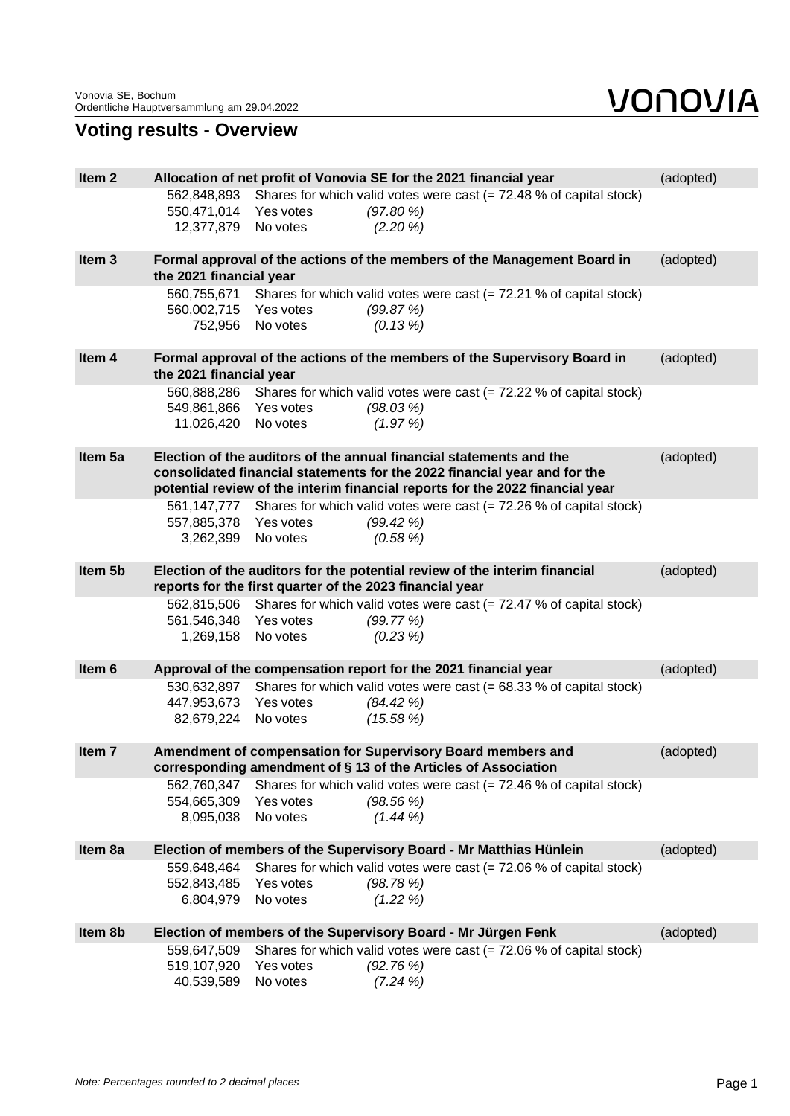## **Voting results - Overview**

| Item <sub>2</sub><br>Allocation of net profit of Vonovia SE for the 2021 financial year<br>(adopted)<br>Shares for which valid votes were cast $(= 72.48 %$ of capital stock)<br>562,848,893<br>550,471,014<br>(97.80%<br>Yes votes<br>No votes<br>$(2.20\%)$<br>12,377,879<br>Item <sub>3</sub><br>Formal approval of the actions of the members of the Management Board in<br>(adopted)<br>the 2021 financial year<br>Shares for which valid votes were cast $(= 72.21 \%$ of capital stock)<br>560,755,671<br>560,002,715<br>Yes votes<br>(99.87%)<br>No votes<br>752,956<br>$(0.13\%)$<br>Item 4<br>Formal approval of the actions of the members of the Supervisory Board in<br>(adopted)<br>the 2021 financial year<br>560,888,286 Shares for which valid votes were cast (= 72.22 % of capital stock)<br>549,861,866 Yes votes<br>(98.03%)<br>(1.97%)<br>11,026,420<br>No votes<br>Item 5a<br>Election of the auditors of the annual financial statements and the<br>(adopted)<br>consolidated financial statements for the 2022 financial year and for the<br>potential review of the interim financial reports for the 2022 financial year<br>561,147,777 Shares for which valid votes were cast (= 72.26 % of capital stock)<br>557,885,378<br>Yes votes<br>(99.42%)<br>3,262,399<br>$(0.58\%)$<br>No votes<br>Item 5b<br>Election of the auditors for the potential review of the interim financial<br>(adopted)<br>reports for the first quarter of the 2023 financial year<br>Shares for which valid votes were cast $(= 72.47 %$ of capital stock)<br>562,815,506<br>561,546,348<br>Yes votes<br>(99.77%)<br>No votes<br>1,269,158<br>$(0.23\%)$<br>Approval of the compensation report for the 2021 financial year<br>(adopted)<br>Item 6<br>Shares for which valid votes were cast $(= 68.33 %$ of capital stock)<br>530,632,897<br>447,953,673 Yes votes<br>(84.42%)<br>82,679,224<br>No votes<br>(15.58%)<br>Item <sub>7</sub><br>Amendment of compensation for Supervisory Board members and<br>(adopted)<br>corresponding amendment of § 13 of the Articles of Association<br>562,760,347<br>Shares for which valid votes were cast $(= 72.46 %$ of capital stock)<br>554,665,309<br>Yes votes<br>(98.56%)<br>8,095,038<br>$(1.44\%)$<br>No votes<br>Item 8a<br>Election of members of the Supervisory Board - Mr Matthias Hünlein<br>(adopted)<br>Shares for which valid votes were cast $(= 72.06 %$ of capital stock)<br>559,648,464<br>552,843,485<br>Yes votes<br>(98.78%)<br>No votes<br>6,804,979<br>$(1.22\%)$<br>Item 8b<br>Election of members of the Supervisory Board - Mr Jürgen Fenk<br>(adopted)<br>Shares for which valid votes were cast $(= 72.06 %$ of capital stock)<br>559,647,509<br>519,107,920<br>(92.76%)<br>Yes votes<br>40,539,589<br>No votes<br>$(7.24\%)$ |  |  |  |  |
|-------------------------------------------------------------------------------------------------------------------------------------------------------------------------------------------------------------------------------------------------------------------------------------------------------------------------------------------------------------------------------------------------------------------------------------------------------------------------------------------------------------------------------------------------------------------------------------------------------------------------------------------------------------------------------------------------------------------------------------------------------------------------------------------------------------------------------------------------------------------------------------------------------------------------------------------------------------------------------------------------------------------------------------------------------------------------------------------------------------------------------------------------------------------------------------------------------------------------------------------------------------------------------------------------------------------------------------------------------------------------------------------------------------------------------------------------------------------------------------------------------------------------------------------------------------------------------------------------------------------------------------------------------------------------------------------------------------------------------------------------------------------------------------------------------------------------------------------------------------------------------------------------------------------------------------------------------------------------------------------------------------------------------------------------------------------------------------------------------------------------------------------------------------------------------------------------------------------------------------------------------------------------------------------------------------------------------------------------------------------------------------------------------------------------------------------------------------------------------------------------------------------------------------------------------------------------------------------------------------------------------------------------------------------------------------------------------------------------------------------------------------------------------------------------------------|--|--|--|--|
|                                                                                                                                                                                                                                                                                                                                                                                                                                                                                                                                                                                                                                                                                                                                                                                                                                                                                                                                                                                                                                                                                                                                                                                                                                                                                                                                                                                                                                                                                                                                                                                                                                                                                                                                                                                                                                                                                                                                                                                                                                                                                                                                                                                                                                                                                                                                                                                                                                                                                                                                                                                                                                                                                                                                                                                                             |  |  |  |  |
|                                                                                                                                                                                                                                                                                                                                                                                                                                                                                                                                                                                                                                                                                                                                                                                                                                                                                                                                                                                                                                                                                                                                                                                                                                                                                                                                                                                                                                                                                                                                                                                                                                                                                                                                                                                                                                                                                                                                                                                                                                                                                                                                                                                                                                                                                                                                                                                                                                                                                                                                                                                                                                                                                                                                                                                                             |  |  |  |  |
|                                                                                                                                                                                                                                                                                                                                                                                                                                                                                                                                                                                                                                                                                                                                                                                                                                                                                                                                                                                                                                                                                                                                                                                                                                                                                                                                                                                                                                                                                                                                                                                                                                                                                                                                                                                                                                                                                                                                                                                                                                                                                                                                                                                                                                                                                                                                                                                                                                                                                                                                                                                                                                                                                                                                                                                                             |  |  |  |  |
|                                                                                                                                                                                                                                                                                                                                                                                                                                                                                                                                                                                                                                                                                                                                                                                                                                                                                                                                                                                                                                                                                                                                                                                                                                                                                                                                                                                                                                                                                                                                                                                                                                                                                                                                                                                                                                                                                                                                                                                                                                                                                                                                                                                                                                                                                                                                                                                                                                                                                                                                                                                                                                                                                                                                                                                                             |  |  |  |  |
|                                                                                                                                                                                                                                                                                                                                                                                                                                                                                                                                                                                                                                                                                                                                                                                                                                                                                                                                                                                                                                                                                                                                                                                                                                                                                                                                                                                                                                                                                                                                                                                                                                                                                                                                                                                                                                                                                                                                                                                                                                                                                                                                                                                                                                                                                                                                                                                                                                                                                                                                                                                                                                                                                                                                                                                                             |  |  |  |  |
|                                                                                                                                                                                                                                                                                                                                                                                                                                                                                                                                                                                                                                                                                                                                                                                                                                                                                                                                                                                                                                                                                                                                                                                                                                                                                                                                                                                                                                                                                                                                                                                                                                                                                                                                                                                                                                                                                                                                                                                                                                                                                                                                                                                                                                                                                                                                                                                                                                                                                                                                                                                                                                                                                                                                                                                                             |  |  |  |  |
|                                                                                                                                                                                                                                                                                                                                                                                                                                                                                                                                                                                                                                                                                                                                                                                                                                                                                                                                                                                                                                                                                                                                                                                                                                                                                                                                                                                                                                                                                                                                                                                                                                                                                                                                                                                                                                                                                                                                                                                                                                                                                                                                                                                                                                                                                                                                                                                                                                                                                                                                                                                                                                                                                                                                                                                                             |  |  |  |  |
|                                                                                                                                                                                                                                                                                                                                                                                                                                                                                                                                                                                                                                                                                                                                                                                                                                                                                                                                                                                                                                                                                                                                                                                                                                                                                                                                                                                                                                                                                                                                                                                                                                                                                                                                                                                                                                                                                                                                                                                                                                                                                                                                                                                                                                                                                                                                                                                                                                                                                                                                                                                                                                                                                                                                                                                                             |  |  |  |  |
|                                                                                                                                                                                                                                                                                                                                                                                                                                                                                                                                                                                                                                                                                                                                                                                                                                                                                                                                                                                                                                                                                                                                                                                                                                                                                                                                                                                                                                                                                                                                                                                                                                                                                                                                                                                                                                                                                                                                                                                                                                                                                                                                                                                                                                                                                                                                                                                                                                                                                                                                                                                                                                                                                                                                                                                                             |  |  |  |  |
|                                                                                                                                                                                                                                                                                                                                                                                                                                                                                                                                                                                                                                                                                                                                                                                                                                                                                                                                                                                                                                                                                                                                                                                                                                                                                                                                                                                                                                                                                                                                                                                                                                                                                                                                                                                                                                                                                                                                                                                                                                                                                                                                                                                                                                                                                                                                                                                                                                                                                                                                                                                                                                                                                                                                                                                                             |  |  |  |  |
|                                                                                                                                                                                                                                                                                                                                                                                                                                                                                                                                                                                                                                                                                                                                                                                                                                                                                                                                                                                                                                                                                                                                                                                                                                                                                                                                                                                                                                                                                                                                                                                                                                                                                                                                                                                                                                                                                                                                                                                                                                                                                                                                                                                                                                                                                                                                                                                                                                                                                                                                                                                                                                                                                                                                                                                                             |  |  |  |  |
|                                                                                                                                                                                                                                                                                                                                                                                                                                                                                                                                                                                                                                                                                                                                                                                                                                                                                                                                                                                                                                                                                                                                                                                                                                                                                                                                                                                                                                                                                                                                                                                                                                                                                                                                                                                                                                                                                                                                                                                                                                                                                                                                                                                                                                                                                                                                                                                                                                                                                                                                                                                                                                                                                                                                                                                                             |  |  |  |  |
|                                                                                                                                                                                                                                                                                                                                                                                                                                                                                                                                                                                                                                                                                                                                                                                                                                                                                                                                                                                                                                                                                                                                                                                                                                                                                                                                                                                                                                                                                                                                                                                                                                                                                                                                                                                                                                                                                                                                                                                                                                                                                                                                                                                                                                                                                                                                                                                                                                                                                                                                                                                                                                                                                                                                                                                                             |  |  |  |  |
|                                                                                                                                                                                                                                                                                                                                                                                                                                                                                                                                                                                                                                                                                                                                                                                                                                                                                                                                                                                                                                                                                                                                                                                                                                                                                                                                                                                                                                                                                                                                                                                                                                                                                                                                                                                                                                                                                                                                                                                                                                                                                                                                                                                                                                                                                                                                                                                                                                                                                                                                                                                                                                                                                                                                                                                                             |  |  |  |  |
|                                                                                                                                                                                                                                                                                                                                                                                                                                                                                                                                                                                                                                                                                                                                                                                                                                                                                                                                                                                                                                                                                                                                                                                                                                                                                                                                                                                                                                                                                                                                                                                                                                                                                                                                                                                                                                                                                                                                                                                                                                                                                                                                                                                                                                                                                                                                                                                                                                                                                                                                                                                                                                                                                                                                                                                                             |  |  |  |  |
|                                                                                                                                                                                                                                                                                                                                                                                                                                                                                                                                                                                                                                                                                                                                                                                                                                                                                                                                                                                                                                                                                                                                                                                                                                                                                                                                                                                                                                                                                                                                                                                                                                                                                                                                                                                                                                                                                                                                                                                                                                                                                                                                                                                                                                                                                                                                                                                                                                                                                                                                                                                                                                                                                                                                                                                                             |  |  |  |  |
|                                                                                                                                                                                                                                                                                                                                                                                                                                                                                                                                                                                                                                                                                                                                                                                                                                                                                                                                                                                                                                                                                                                                                                                                                                                                                                                                                                                                                                                                                                                                                                                                                                                                                                                                                                                                                                                                                                                                                                                                                                                                                                                                                                                                                                                                                                                                                                                                                                                                                                                                                                                                                                                                                                                                                                                                             |  |  |  |  |
|                                                                                                                                                                                                                                                                                                                                                                                                                                                                                                                                                                                                                                                                                                                                                                                                                                                                                                                                                                                                                                                                                                                                                                                                                                                                                                                                                                                                                                                                                                                                                                                                                                                                                                                                                                                                                                                                                                                                                                                                                                                                                                                                                                                                                                                                                                                                                                                                                                                                                                                                                                                                                                                                                                                                                                                                             |  |  |  |  |